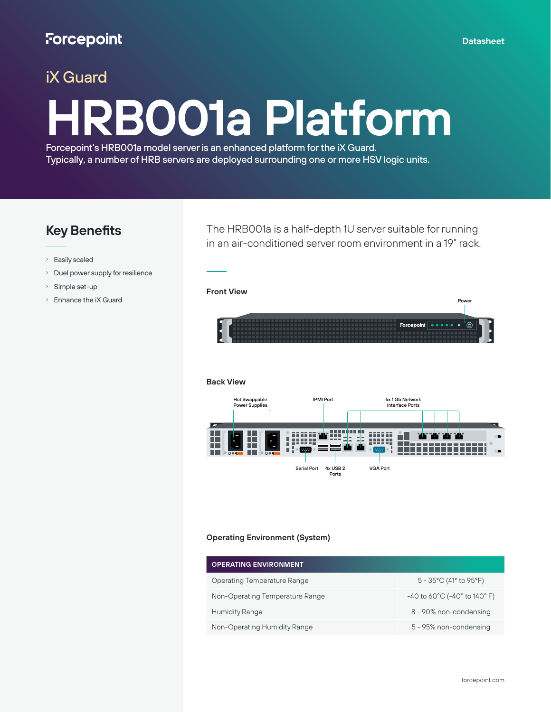## iX Guard

# **HRB001a Platform**

Forcepoint's HRB001a model server is an enhanced platform for the iX Guard. Typically, a number of HRB servers are deployed surrounding one or more HSV logic units.

### **Key Benefits**

- › Easily scaled
- › Duel power supply for resilience
- › Simple set-up
- › Enhance the iX Guard

The HRB001a is a half-depth 1U server suitable for running in an air-conditioned server room environment in a 19" rack.

#### **Front View**



#### **Back View**



#### **Operating Environment (System)**

| <b>OPERATING ENVIRONMENT</b>    |                                                               |
|---------------------------------|---------------------------------------------------------------|
| Operating Temperature Range     | $5 - 35^{\circ}$ C (41 $^{\circ}$ to 95 $^{\circ}$ F)         |
| Non-Operating Temperature Range | $-40$ to 60 $^{\circ}$ C ( $-40^{\circ}$ to 140 $^{\circ}$ F) |
| <b>Humidity Range</b>           | 8 - 90% non-condensing                                        |
| Non-Operating Humidity Range    | 5 - 95% non-condensing                                        |